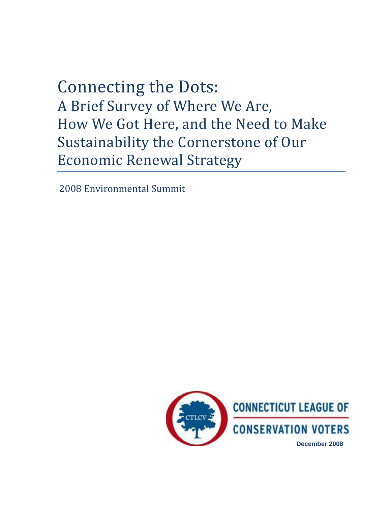# Connecting the Dots: A Brief Survey of Where We Are, How We Got Here, and the Need to Make Sustainability the Cornerstone of Our Economic Renewal Strategy

2008 Environmental Summit

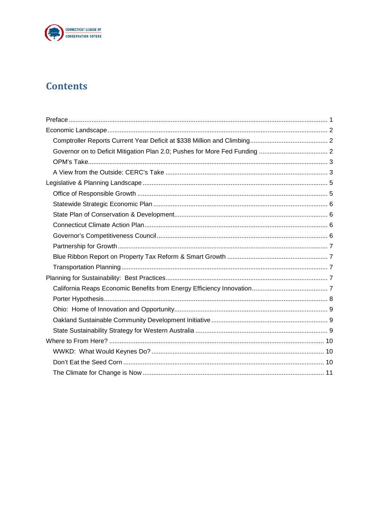

## **Contents**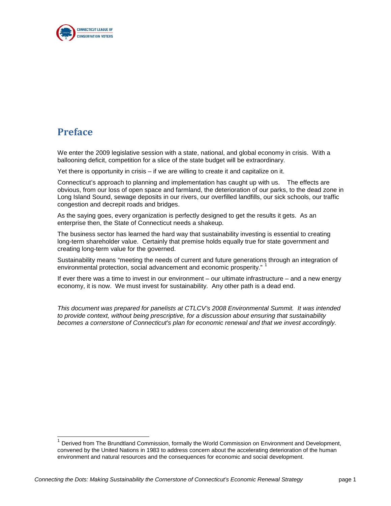

## <span id="page-2-0"></span>**Preface**

We enter the 2009 legislative session with a state, national, and global economy in crisis. With a ballooning deficit, competition for a slice of the state budget will be extraordinary.

Yet there is opportunity in crisis – if we are willing to create it and capitalize on it.

Connecticut's approach to planning and implementation has caught up with us. The effects are obvious, from our loss of open space and farmland, the deterioration of our parks, to the dead zone in Long Island Sound, sewage deposits in our rivers, our overfilled landfills, our sick schools, our traffic congestion and decrepit roads and bridges.

As the saying goes, every organization is perfectly designed to get the results it gets. As an enterprise then, the State of Connecticut needs a shakeup.

The business sector has learned the hard way that sustainability investing is essential to creating long-term shareholder value. Certainly that premise holds equally true for state government and creating long-term value for the governed.

Sustainability means "meeting the needs of current and future generations through an integration of environmental protection, social advancement and economic prosperity." <sup>[1](#page-2-1)</sup>

If ever there was a time to invest in our environment – our ultimate infrastructure – and a new energy economy, it is now. We must invest for sustainability. Any other path is a dead end.

*This document was prepared for panelists at CTLCV's 2008 Environmental Summit. It was intended to provide context, without being prescriptive, for a discussion about ensuring that sustainability becomes a cornerstone of Connecticut's plan for economic renewal and that we invest accordingly.*

<span id="page-2-1"></span>Derived from The Brundtland Commission, formally the World Commission on Environment and Development, convened by the United Nations in 1983 to address concern about the accelerating deterioration of the human environment and natural resources and the consequences for economic and social development.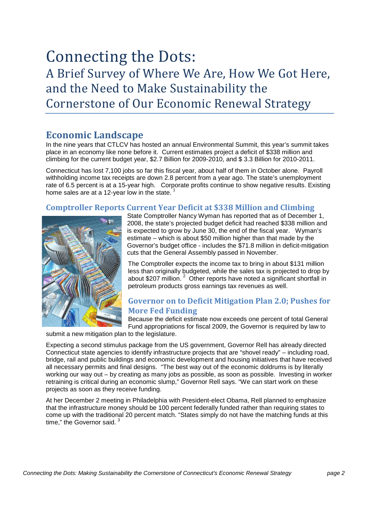## Connecting the Dots: A Brief Survey of Where We Are, How We Got Here, and the Need to Make Sustainability the Cornerstone of Our Economic Renewal Strategy

### <span id="page-3-0"></span>**Economic Landscape**

In the nine years that CTLCV has hosted an annual Environmental Summit, this year's summit takes place in an economy like none before it. Current estimates project a deficit of \$338 million and climbing for the current budget year, \$2.7 Billion for 2009-2010, and \$ 3.3 Billion for 2010-2011.

Connecticut has lost 7,100 jobs so far this fiscal year, about half of them in October alone. Payroll withholding income tax receipts are down 2.8 percent from a year ago. The state's unemployment rate of 6.5 percent is at a 15-year high. Corporate profits continue to show negative results. Existing home sales are at a [1](#page-12-1)2-year low in the state.  $1$ 

#### <span id="page-3-1"></span>**Comptroller Reports Current Year Deficit at \$338 Million and Climbing**



State Comptroller Nancy Wyman has reported that as of December 1, 2008, the state's projected budget deficit had reached \$338 million and is expected to grow by June 30, the end of the fiscal year. Wyman's estimate – which is about \$50 million higher than that made by the Governor's budget office - includes the \$71.8 million in deficit-mitigation cuts that the General Assembly passed in November.

The Comptroller expects the income tax to bring in about \$131 million less than originally budgeted, while the sales tax is projected to drop by about \$[2](#page-12-1)07 million.<sup>2</sup> Other reports have noted a significant shortfall in petroleum products gross earnings tax revenues as well.

#### <span id="page-3-2"></span>**Governor on to Deficit Mitigation Plan 2.0; Pushes for More Fed Funding**

Because the deficit estimate now exceeds one percent of total General Fund appropriations for fiscal 2009, the Governor is required by law to submit a new mitigation plan to the legislature.

Expecting a second stimulus package from the US government, Governor Rell has already directed Connecticut state agencies to identify infrastructure projects that are "shovel ready" – including road, bridge, rail and public buildings and economic development and housing initiatives that have received all necessary permits and final designs. "The best way out of the economic doldrums is by literally working our way out – by creating as many jobs as possible, as soon as possible. Investing in worker retraining is critical during an economic slump," Governor Rell says. "We can start work on these projects as soon as they receive funding.

At her December 2 meeting in Philadelphia with President-elect Obama, Rell planned to emphasize that the infrastructure money should be 100 percent federally funded rather than requiring states to come up with the traditional 20 percent match. "States simply do not have the matching funds at this time," the Governor said.<sup>[3](#page-12-1)</sup>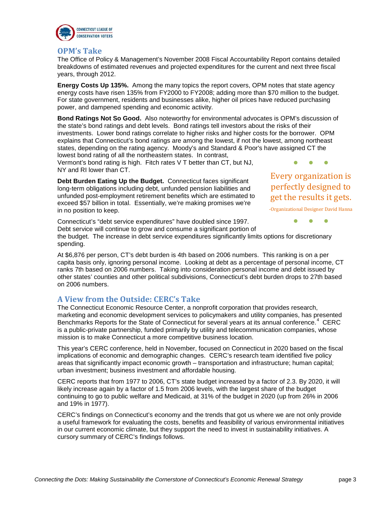

#### <span id="page-4-0"></span>**OPM's Take**

The Office of Policy & Management's November 2008 Fiscal Accountability Report contains detailed breakdowns of estimated revenues and projected expenditures for the current and next three fiscal years, through 2012.

**Energy Costs Up 135%.** Among the many topics the report covers, OPM notes that state agency energy costs have risen 135% from FY2000 to FY2008; adding more than \$70 million to the budget. For state government, residents and businesses alike, higher oil prices have reduced purchasing power, and dampened spending and economic activity.

**Bond Ratings Not So Good.** Also noteworthy for environmental advocates is OPM's discussion of the state's bond ratings and debt levels. Bond ratings tell investors about the risks of their investments. Lower bond ratings correlate to higher risks and higher costs for the borrower. OPM explains that Connecticut's bond ratings are among the lowest, if not the lowest, among northeast states, depending on the rating agency. Moody's and Standard & Poor's have assigned CT the lowest bond rating of all the northeastern states. In contrast,

Vermont's bond rating is high. Fitch rates V T better than CT, but NJ, NY and RI lower than CT.

**Debt Burden Eating Up the Budget.** Connecticut faces significant long-term obligations including debt, unfunded pension liabilities and unfunded post-employment retirement benefits which are estimated to exceed \$57 billion in total. Essentially, we're making promises we're in no position to keep.

Every organization is perfectly designed to get the results it gets.

● ● ●

-Organizational Designer David Hanna

● ● ● Connecticut's "debt service expenditures" have doubled since 1997. Debt service will continue to grow and consume a significant portion of the budget. The increase in debt service expenditures significantly limits options for discretionary spending.

At \$6,876 per person, CT's debt burden is 4th based on 2006 numbers. This ranking is on a per capita basis only, ignoring personal income. Looking at debt as a percentage of personal income, CT ranks 7th based on 2006 numbers. Taking into consideration personal income and debt issued by other states' counties and other political subdivisions, Connecticut's debt burden drops to 27th based on 2006 numbers.

#### <span id="page-4-1"></span>**A View from the Outside: CERC's Take**

The Connecticut Economic Resource Center, a nonprofit corporation that provides research, marketing and economic development services to policymakers and utility companies, has presented Benchmarks Reports for the State of Connecticut for several years at its annual conference.<sup>[4](#page-12-1)</sup> CERC is a public-private partnership, funded primarily by utility and telecommunication companies, whose mission is to make Connecticut a more competitive business location.

This year's CERC conference, held in November, focused on Connecticut in 2020 based on the fiscal implications of economic and demographic changes. CERC's research team identified five policy areas that significantly impact economic growth – transportation and infrastructure; human capital; urban investment; business investment and affordable housing.

CERC reports that from 1977 to 2006, CT's state budget increased by a factor of 2.3. By 2020, it will likely increase again by a factor of 1.5 from 2006 levels, with the largest share of the budget continuing to go to public welfare and Medicaid, at 31% of the budget in 2020 (up from 26% in 2006 and 19% in 1977).

CERC's findings on Connecticut's economy and the trends that got us where we are not only provide a useful framework for evaluating the costs, benefits and feasibility of various environmental initiatives in our current economic climate, but they support the need to invest in sustainability initiatives. A cursory summary of CERC's findings follows.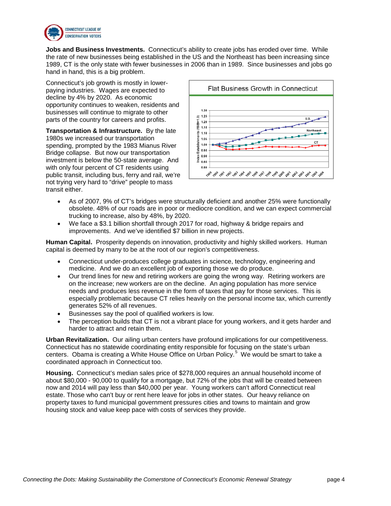

**Jobs and Business Investments.** Connecticut's ability to create jobs has eroded over time. While the rate of new businesses being established in the US and the Northeast has been increasing since 1989, CT is the only state with fewer businesses in 2006 than in 1989. Since businesses and jobs go hand in hand, this is a big problem.

Connecticut's job growth is mostly in lowerpaying industries. Wages are expected to decline by 4% by 2020. As economic opportunity continues to weaken, residents and businesses will continue to migrate to other parts of the country for careers and profits.

**Transportation & Infrastructure.** By the late 1980s we increased our transportation spending, prompted by the 1983 Mianus River Bridge collapse. But now our transportation investment is below the 50-state average. And with only four percent of CT residents using public transit, including bus, ferry and rail, we're not trying very hard to "drive" people to mass transit either.



- As of 2007, 9% of CT's bridges were structurally deficient and another 25% were functionally obsolete. 48% of our roads are in poor or mediocre condition, and we can expect commercial trucking to increase, also by 48%, by 2020.
- We face a \$3.1 billion shortfall through 2017 for road, highway & bridge repairs and improvements. And we've identified \$7 billion in new projects.

**Human Capital.** Prosperity depends on innovation, productivity and highly skilled workers. Human capital is deemed by many to be at the root of our region's competitiveness.

- Connecticut under-produces college graduates in science, technology, engineering and medicine. And we do an excellent job of exporting those we do produce.
- Our trend lines for new and retiring workers are going the wrong way. Retiring workers are on the increase; new workers are on the decline. An aging population has more service needs and produces less revenue in the form of taxes that pay for those services. This is especially problematic because CT relies heavily on the personal income tax, which currently generates 52% of all revenues.
- Businesses say the pool of qualified workers is low.
- The perception builds that CT is not a vibrant place for young workers, and it gets harder and harder to attract and retain them.

**Urban Revitalization.** Our ailing urban centers have profound implications for our competitiveness. Connecticut has no statewide coordinating entity responsible for focusing on the state's urban centers. Obama is creating a White House Office on Urban Policy.<sup>[5](#page-12-1)</sup> We would be smart to take a coordinated approach in Connecticut too.

**Housing.** Connecticut's median sales price of \$278,000 requires an annual household income of about \$80,000 - 90,000 to qualify for a mortgage, but 72% of the jobs that will be created between now and 2014 will pay less than \$40,000 per year. Young workers can't afford Connecticut real estate. Those who can't buy or rent here leave for jobs in other states. Our heavy reliance on property taxes to fund municipal government pressures cities and towns to maintain and grow housing stock and value keep pace with costs of services they provide.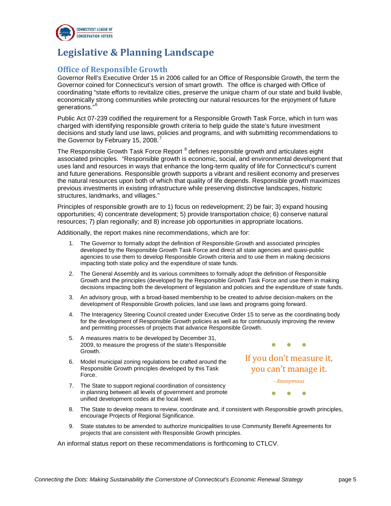

## **Legislative & Planning Landscape**

#### <span id="page-6-1"></span><span id="page-6-0"></span>**Office of Responsible Growth**

Governor Rell's Executive Order 15 in 2006 called for an Office of Responsible Growth, the term the Governor coined for Connecticut's version of smart growth. The office is charged with Office of coordinating "state efforts to revitalize cities, preserve the unique charm of our state and build livable, economically strong communities while protecting our natural resources for the enjoyment of future generations."<sup>[6](#page-13-0)</sup>

Public Act 07-239 codified the requirement for a Responsible Growth Task Force, which in turn was charged with identifying responsible growth criteria to help guide the state's future investment decisions and study land use laws, policies and programs, and with submitting recommendations to the Governor by February 15, 2008.

The Responsible Growth Task Force Report  $^8$  $^8$  defines responsible growth and articulates eight associated principles. "Responsible growth is economic, social, and environmental development that uses land and resources in ways that enhance the long-term quality of life for Connecticut's current and future generations. Responsible growth supports a vibrant and resilient economy and preserves the natural resources upon both of which that quality of life depends. Responsible growth maximizes previous investments in existing infrastructure while preserving distinctive landscapes, historic structures, landmarks, and villages."

Principles of responsible growth are to 1) focus on redevelopment; 2) be fair; 3) expand housing opportunities; 4) concentrate development; 5) provide transportation choice; 6) conserve natural resources; 7) plan regionally; and 8) increase job opportunities in appropriate locations.

Additionally, the report makes nine recommendations, which are for:

- 1. The Governor to formally adopt the definition of Responsible Growth and associated principles developed by the Responsible Growth Task Force and direct all state agencies and quasi-public agencies to use them to develop Responsible Growth criteria and to use them in making decisions impacting both state policy and the expenditure of state funds.
- 2. The General Assembly and its various committees to formally adopt the definition of Responsible Growth and the principles (developed by the Responsible Growth Task Force and use them in making decisions impacting both the development of legislation and policies and the expenditure of state funds.
- 3. An advisory group, with a broad-based membership to be created to advise decision-makers on the development of Responsible Growth policies, land use laws and programs going forward.
- 4. The Interagency Steering Council created under Executive Order 15 to serve as the coordinating body for the development of Responsible Growth policies as well as for continuously improving the review and permitting processes of projects that advance Responsible Growth.
- 5. A measures matrix to be developed by December 31, 2009, to measure the progress of the state's Responsible Growth.
- 6. Model municipal zoning regulations be crafted around the Responsible Growth principles developed by this Task Force.
- 7. The State to support regional coordination of consistency in planning between all levels of government and promote unified development codes at the local level.

If you don't measure it, you can't manage it.

● ● ●

*- Anonymous*

● ● ●

- 8. The State to develop means to review, coordinate and, if consistent with Responsible growth principles, encourage Projects of Regional Significance.
- 9. State statutes to be amended to authorize municipalities to use Community Benefit Agreements for projects that are consistent with Responsible Growth principles.

An informal status report on these recommendations is forthcoming to CTLCV.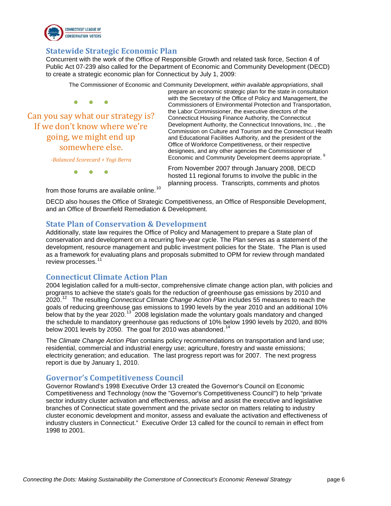

#### <span id="page-7-0"></span>**Statewide Strategic Economic Plan**

Concurrent with the work of the Office of Responsible Growth and related task force, Section 4 of Public Act 07-239 also called for the Department of Economic and Community Development (DECD) to create a strategic economic plan for Connecticut by July 1, 2009:

The Commissioner of Economic and Community Development, *within available appropriations*, shall

● ● ●

Can you say what our strategy is? If we don't know where we're going, we might end up somewhere else.

prepare an economic strategic plan for the state in consultation with the Secretary of the Office of Policy and Management, the Commissioners of Environmental Protection and Transportation, the Labor Commissioner, the executive directors of the Connecticut Housing Finance Authority, the Connecticut Development Authority, the Connecticut Innovations, Inc. , the Commission on Culture and Tourism and the Connecticut Health and Educational Facilities Authority, and the president of the Office of Workforce Competitiveness, or their respective designees, and any other agencies the Commissioner of Economic and Community Development deems appropriate. <sup>[9](#page-13-3)</sup>

*-Balanced Scorecard + Yogi Berra*

● ● ●

From November 2007 through January 2008, DECD hosted 11 regional forums to involve the public in the planning process. Transcripts, comments and photos

from those forums are available online.<sup>[10](#page-13-4)</sup>

DECD also houses the Office of Strategic Competitiveness, an Office of Responsible Development, and an Office of Brownfield Remediation & Development.

#### <span id="page-7-1"></span>**State Plan of Conservation & Development**

Additionally, state law requires the Office of Policy and Management to prepare a State plan of conservation and development on a recurring five-year cycle. The Plan serves as a statement of the development, resource management and public investment policies for the State. The Plan is used as a framework for evaluating plans and proposals submitted to OPM for review through mandated review processes.<sup>1</sup>

#### <span id="page-7-2"></span>**Connecticut Climate Action Plan**

2004 legislation called for a multi-sector, comprehensive climate change action plan, with policies and programs to achieve the state's goals for the reduction of greenhouse gas emissions by 2010 and 2020.[12](#page-13-6) The resulting *Connecticut Climate Change Action Plan* includes 55 measures to reach the goals of reducing greenhouse gas emissions to 1990 levels by the year 2010 and an additional 10% below that by the year 2020.<sup>[13](#page-13-7)</sup> 2008 legislation made the voluntary goals mandatory and changed the schedule to mandatory greenhouse gas reductions of 10% below 1990 levels by 2020, and 80% below 2001 levels by 2050. The goal for 2010 was abandoned.<sup>1</sup>

The *Climate Change Action Plan* contains policy recommendations on transportation and land use; residential, commercial and industrial energy use; agriculture, forestry and waste emissions; electricity generation; and education. The last progress report was for 2007. The next progress report is due by January 1, 2010.

#### <span id="page-7-3"></span>**Governor's Competitiveness Council**

Governor Rowland's 1998 Executive Order 13 created the Governor's Council on Economic Competitiveness and Technology (now the "Governor's Competitiveness Council") to help "private sector industry cluster activation and effectiveness, advise and assist the executive and legislative branches of Connecticut state government and the private sector on matters relating to industry cluster economic development and monitor, assess and evaluate the activation and effectiveness of industry clusters in Connecticut." Executive Order 13 called for the council to remain in effect from 1998 to 2001.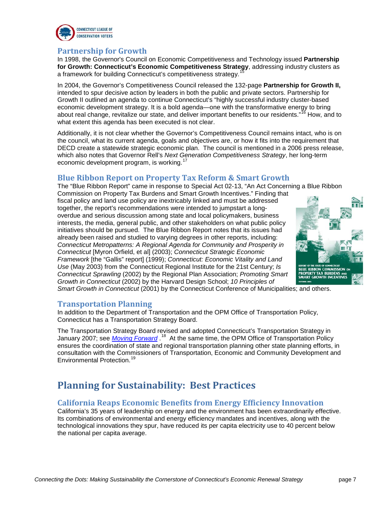

#### <span id="page-8-0"></span>**Partnership for Growth**

In 1998, the Governor's Council on Economic Competitiveness and Technology issued **Partnership for Growth: Connecticut's Economic Competitiveness Strategy**, addressing industry clusters as a framework for building Connecticut's competitiveness strategy. [15](#page-13-9)

In 2004, the Governor's Competitiveness Council released the 132-page **Partnership for Growth II,**  intended to spur decisive action by leaders in both the public and private sectors. Partnership for Growth II outlined an agenda to continue Connecticut's "highly successful industry cluster-based economic development strategy. It is a bold agenda—one with the transformative energy to bring about real change, revitalize our state, and deliver important benefits to our residents."<sup>[16](#page-13-10)</sup> How, and to what extent this agenda has been executed is not clear.

Additionally, it is not clear whether the Governor's Competitiveness Council remains intact, who is on the council, what its current agenda, goals and objectives are, or how it fits into the requirement that DECD create a statewide strategic economic plan. The council is mentioned in a 2006 press release, which also notes that Governor Rell's *Next Generation Competitiveness Strategy*, her long-term economic development program, is working.<sup>1</sup>

#### <span id="page-8-1"></span>**Blue Ribbon Report on Property Tax Reform & Smart Growth**

The "Blue Ribbon Report" came in response to Special Act 02-13, "An Act Concerning a Blue Ribbon Commission on Property Tax Burdens and Smart Growth Incentives." Finding that fiscal policy and land use policy are inextricably linked and must be addressed together, the report's recommendations were intended to jumpstart a longoverdue and serious discussion among state and local policymakers, business interests, the media, general public, and other stakeholders on what public policy initiatives should be pursued. The Blue Ribbon Report notes that its issues had already been raised and studied to varying degrees in other reports, including: *Connecticut Metropatterns: A Regional Agenda for Community and Prosperity in Connecticut* [Myron Orfield, et al] (2003); *Connecticut Strategic Economic Framework* [the "Gallis" report] (1999); *Connecticut: Economic Vitality and Land Use* (May 2003) from the Connecticut Regional Institute for the 21st Century; *Is Connecticut Sprawling* (2002) by the Regional Plan Association; *Promoting Smart Growth in Connecticut* (2002) by the Harvard Design School; *10 Principles of* 



*Smart Growth in Connecticut* (2001) by the Connecticut Conference of Municipalities; and others.

#### <span id="page-8-2"></span>**Transportation Planning**

In addition to the Department of Transportation and the OPM Office of Transportation Policy, Connecticut has a Transportation Strategy Board.

The Transportation Strategy Board revised and adopted Connecticut's Transportation Strategy in January 2007; see *[Moving Forward](http://www.ct.gov/opm/lib/opm/tsb/reports_tsb/tsb2007report.pdf)*.<sup>[18](#page-13-12)</sup> At the same time, the OPM Office of Transportation Policy ensures the coordination of state and regional transportation planning other state planning efforts, in consultation with the Commissioners of Transportation, Economic and Community Development and Environmental Protection.<sup>[19](#page-13-13)</sup>

## <span id="page-8-3"></span>**Planning for Sustainability: Best Practices**

#### <span id="page-8-4"></span>**California Reaps Economic Benefits from Energy Efficiency Innovation**

California's 35 years of leadership on energy and the environment has been extraordinarily effective. Its combinations of environmental and energy efficiency mandates and incentives, along with the technological innovations they spur, have reduced its per capita electricity use to 40 percent below the national per capita average.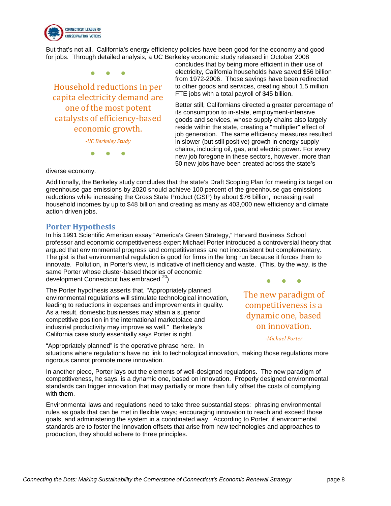

But that's not all. California's energy efficiency policies have been good for the economy and good for jobs. Through detailed analysis, a UC Berkeley economic study released in October 2008

● ● ● Household reductions in per capita electricity demand are one of the most potent catalysts of efficiency-based economic growth.

*-UC Berkeley Study*

● ● ●

concludes that by being more efficient in their use of electricity, California households have saved \$56 billion from 1972-2006. Those savings have been redirected to other goods and services, creating about 1.5 million FTE jobs with a total payroll of \$45 billion.

Better still, Californians directed a greater percentage of its consumption to in-state, employment-intensive goods and services, whose supply chains also largely reside within the state, creating a "multiplier" effect of job generation. The same efficiency measures resulted in slower (but still positive) growth in energy supply chains, including oil, gas, and electric power. For every new job foregone in these sectors, however, more than 50 new jobs have been created across the state's

diverse economy.

Additionally, the Berkeley study concludes that the state's Draft Scoping Plan for meeting its target on greenhouse gas emissions by 2020 should achieve 100 percent of the greenhouse gas emissions reductions while increasing the Gross State Product (GSP) by about \$76 billion, increasing real household incomes by up to \$48 billion and creating as many as 403,000 new efficiency and climate action driven jobs.

#### <span id="page-9-0"></span>**Porter Hypothesis**

In his 1991 Scientific American essay "America's Green Strategy," Harvard Business School professor and economic competitiveness expert Michael Porter introduced a controversial theory that argued that environmental progress and competitiveness are not inconsistent but complementary. The gist is that environmental regulation is good for firms in the long run because it forces them to innovate. Pollution, in Porter's view, is indicative of inefficiency and waste. (This, by the way, is the same Porter whose cluster-based theories of economic development Connecticut has embraced.<sup>[20](#page-13-14)</sup>)

The Porter hypothesis asserts that, "Appropriately planned environmental regulations will stimulate technological innovation, leading to reductions in expenses and improvements in quality. As a result, domestic businesses may attain a superior competitive position in the international marketplace and industrial productivity may improve as well." Berkeley's California case study essentially says Porter is right.

● ● ● The new paradigm of competitiveness is a dynamic one, based on innovation.

*-Michael Porter*

"Appropriately planned" is the operative phrase here. In situations where regulations have no link to technological innovation, making those regulations more rigorous cannot promote more innovation.

In another piece, Porter lays out the elements of well-designed regulations. The new paradigm of competitiveness, he says, is a dynamic one, based on innovation. Properly designed environmental standards can trigger innovation that may partially or more than fully offset the costs of complying with them.

Environmental laws and regulations need to take three substantial steps: phrasing environmental rules as goals that can be met in flexible ways; encouraging innovation to reach and exceed those goals, and administering the system in a coordinated way. According to Porter, if environmental standards are to foster the innovation offsets that arise from new technologies and approaches to production, they should adhere to three principles.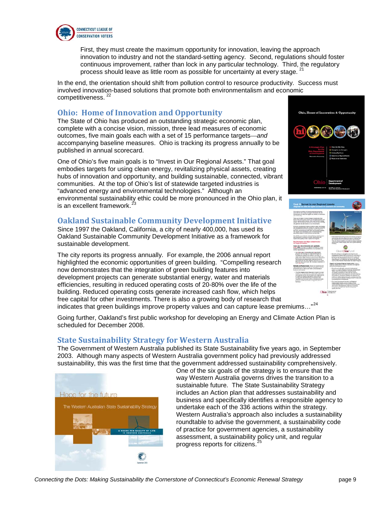

First, they must create the maximum opportunity for innovation, leaving the approach innovation to industry and not the standard-setting agency. Second, regulations should foster continuous improvement, rather than lock in any particular technology. Third, the regulatory process should leave as little room as possible for uncertainty at every stage. <sup>[21](#page-13-15)</sup>

In the end, the orientation should shift from pollution control to resource productivity. Success must involved innovation-based solutions that promote both environmentalism and economic competitiveness.<sup>[22](#page-13-16)</sup>

#### <span id="page-10-0"></span>**Ohio: Home of Innovation and Opportunity**

The State of Ohio has produced an outstanding strategic economic plan, complete with a concise vision, mission, three lead measures of economic outcomes, five main goals each with a set of 15 performance targets—*and* accompanying baseline measures. Ohio is tracking its progress annually to be published in annual scorecard.

One of Ohio's five main goals is to "Invest in Our Regional Assets." That goal embodies targets for using clean energy, revitalizing physical assets, creating hubs of innovation and opportunity, and building sustainable, connected, vibrant communities. At the top of Ohio's list of statewide targeted industries is "advanced energy and environmental technologies." Although an environmental sustainability ethic could be more pronounced in the Ohio plan, it is an excellent framework. $\dot{3}$ 

#### <span id="page-10-1"></span>**Oakland Sustainable Community Development Initiative**

Since 1997 the Oakland, California, a city of nearly 400,000, has used its Oakland Sustainable Community Development Initiative as a framework for sustainable development.

The city reports its progress annually. For example, the 2006 annual report highlighted the economic opportunities of green building. "Compelling research now demonstrates that the integration of green building features into development projects can generate substantial energy, water and materials efficiencies, resulting in reduced operating costs of 20-80% over the life of the building. Reduced operating costs generate increased cash flow, which helps free capital for other investments. There is also a growing body of research that indicates that green buildings improve property values and can capture lease premiums…"[24](#page-13-18)

Going further, Oakland's first public workshop for developing an Energy and Climate Action Plan is scheduled for December 2008.

#### <span id="page-10-2"></span>**State Sustainability Strategy for Western Australia**

The Government of Western Australia published its State Sustainability five years ago, in September 2003. Although many aspects of Western Australia government policy had previously addressed sustainability, this was the first time that the government addressed sustainability comprehensively.



One of the six goals of the strategy is to ensure that the way Western Australia governs drives the transition to a sustainable future. The State Sustainability Strategy includes an Action plan that addresses sustainability and business and specifically identifies a responsible agency to undertake each of the 336 actions within the strategy. Western Australia's approach also includes a sustainability roundtable to advise the government, a sustainability code of practice for government agencies, a sustainability assessment, a sustainability policy unit, and regular progress reports for citizens. [25](#page-13-19)



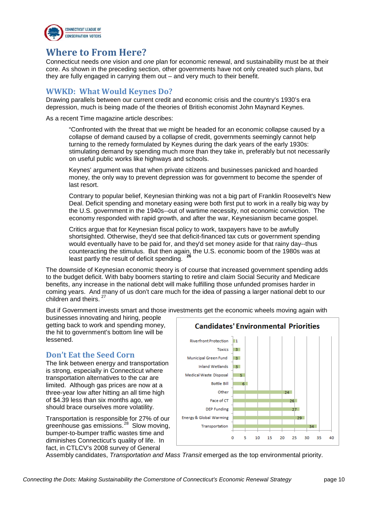

## **Where to From Here?**

<span id="page-11-0"></span>Connecticut needs *one* vision and *one* plan for economic renewal, and sustainability must be at their core. As shown in the preceding section, other governments have not only created such plans, but they are fully engaged in carrying them out – and very much to their benefit.

#### <span id="page-11-1"></span>**WWKD: What Would Keynes Do?**

Drawing parallels between our current credit and economic crisis and the country's 1930's era depression, much is being made of the theories of British economist John Maynard Keynes.

As a recent Time magazine article describes:

"Confronted with the threat that we might be headed for an economic collapse caused by a collapse of demand caused by a collapse of credit, governments seemingly cannot help turning to the remedy formulated by Keynes during the dark years of the early 1930s: stimulating demand by spending much more than they take in, preferably but not necessarily on useful public works like highways and schools.

Keynes' argument was that when private citizens and businesses panicked and hoarded money, the only way to prevent depression was for government to become the spender of last resort.

Contrary to popular belief, Keynesian thinking was not a big part of Franklin Roosevelt's New Deal. Deficit spending and monetary easing were both first put to work in a really big way by the U.S. government in the 1940s--out of wartime necessity, not economic conviction. The economy responded with rapid growth, and after the war, Keynesianism became gospel.

Critics argue that for Keynesian fiscal policy to work, taxpayers have to be awfully shortsighted. Otherwise, they'd see that deficit-financed tax cuts or government spending would eventually have to be paid for, and they'd set money aside for that rainy day--thus counteracting the stimulus. But then again, the U.S. economic boom of the 1980s was at least partly the result of deficit spending. **[26](#page-13-20)**

The downside of Keynesian economic theory is of course that increased government spending adds to the budget deficit. With baby boomers starting to retire and claim Social Security and Medicare benefits, any increase in the national debt will make fulfilling those unfunded promises harder in coming years. And many of us don't care much for the idea of passing a larger national debt to our children and theirs.<sup>2</sup>

But if Government invests smart and those investments get the economic wheels moving again with

businesses innovating and hiring, people getting back to work and spending money, the hit to government's bottom line will be lessened.

#### <span id="page-11-2"></span>**Don't Eat the Seed Corn**

The link between energy and transportation is strong, especially in Connecticut where transportation alternatives to the car are limited. Although gas prices are now at a three-year low after hitting an all time high of \$4.39 less than six months ago, we should brace ourselves more volatility.

Transportation is responsible for 27% of our greenhouse gas emissions.[28](#page-13-22) Slow moving, bumper-to-bumper traffic wastes time and diminishes Connecticut's quality of life. In fact, in CTLCV's 2008 survey of General



Assembly candidates, *Transportation and Mass Transit* emerged as the top environmental priority.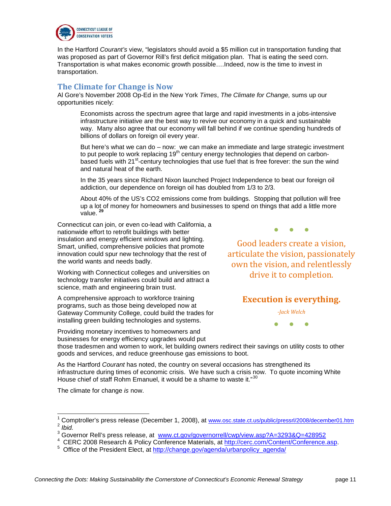

In the Hartford *Courant's* view, "legislators should avoid a \$5 million cut in transportation funding that was proposed as part of Governor Rill's first deficit mitigation plan. That is eating the seed corn. Transportation is what makes economic growth possible….Indeed, now is the time to invest in transportation.

#### <span id="page-12-0"></span>**The Climate for Change is Now**

Al Gore's November 2008 Op-Ed in the New York *Times*, *The Climate for Change,* sums up our opportunities nicely:

Economists across the spectrum agree that large and rapid investments in a jobs-intensive infrastructure initiative are the best way to revive our economy in a quick and sustainable way. Many also agree that our economy will fall behind if we continue spending hundreds of billions of dollars on foreign oil every year.

But here's what we can do – now: we can make an immediate and large strategic investment to put people to work replacing 19<sup>th</sup> century energy technologies that depend on carbonbased fuels with 21<sup>st</sup>-century technologies that use fuel that is free forever: the sun the wind and natural heat of the earth.

In the 35 years since Richard Nixon launched Project Independence to beat our foreign oil addiction, our dependence on foreign oil has doubled from 1/3 to 2/3.

About 40% of the US's CO2 emissions come from buildings. Stopping that pollution will free up a lot of money for homeowners and businesses to spend on things that add a little more value. **[29](#page-13-23)**

Connecticut can join, or even co-lead with California, a nationwide effort to retrofit buildings with better insulation and energy efficient windows and lighting. Smart, unified, comprehensive policies that promote innovation could spur new technology that the rest of the world wants and needs badly.

Working with Connecticut colleges and universities on technology transfer initiatives could build and attract a science, math and engineering brain trust.

A comprehensive approach to workforce training programs, such as those being developed now at Gateway Community College, could build the trades for installing green building technologies and systems.

Providing monetary incentives to homeowners and businesses for energy efficiency upgrades would put ● ● ●

Good leaders create a vision, articulate the vision, passionately own the vision, and relentlessly drive it to completion.

#### **Execution is everything.**

*-Jack Welch*

● ● ●

those tradesmen and women to work, let building owners redirect their savings on utility costs to other goods and services, and reduce greenhouse gas emissions to boot.

As the Hartford *Courant* has noted, the country on several occasions has strengthened its infrastructure during times of economic crisis. We have such a crisis now. To quote incoming White House chief of staff Rohm Emanuel, it would be a shame to waste it."<sup>[30](#page-13-24)</sup>

The climate for change *is* now.

<span id="page-12-1"></span> $\frac{1}{2}$  Comptroller's press release (December 1, 2008), at ˈ Comptroller's press release (December 1, 2008), at <u>[www.osc.state.ct.us/public/pressrl/2008/december01.htm](http://www.osc.state.ct.us/public/pressrl/2008/december01.htm)</u><br><sup>2</sup> *Ibid.* 

 $\frac{3}{3}$  Governor Rell's press release, at [www.ct.gov/governorrell/cwp/view.asp?A=3293&Q=428952](http://www.ct.gov/governorrell/cwp/view.asp?A=3293&Q=428952)<br>4 GEBC 2008 Besearch & Believ Conference Materials at http://esrs.com/Content/Conference

<sup>&</sup>lt;sup>4</sup> CERC 2008 Research & Policy Conference Materials, at [http://cerc.com/Content/Conference.asp.](http://cerc.com/Content/Conference.asp)<br>5 Office of the President Elect at http://ebenes.gov/ganda/urbanneliav.ganda/

Office of the President Elect, at [http://change.gov/agenda/urbanpolicy\\_agenda/](http://change.gov/agenda/urbanpolicy_agenda/)